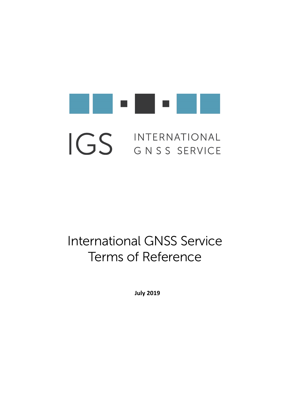

# INTERNATIONAL IGS GNSS SERVICE

# International GNSS Service Terms of Reference

**July 2019**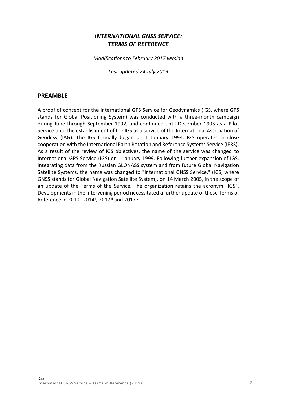# *INTERNATIONAL GNSS SERVICE: TERMS OF REFERENCE*

*Modifications to February 2017 version*

*Last updated 24 July 2019*

#### **PREAMBLE**

A proof of concept for the International GPS Service for Geodynamics (IGS, where GPS stands for Global Positioning System) was conducted with a three-month campaign during June through September 1992, and continued until December 1993 as a Pilot Service until the establishment of the IGS as a service of the International Association of Geodesy (IAG). The IGS formally began on 1 January 1994. IGS operates in close cooperation with the International Earth Rotation and Reference Systems Service (IERS). As a result of the review of IGS objectives, the name of the service was changed to International GPS Service (IGS) on 1 January 1999. Following further expansion of IGS, integrating data from the Russian GLONASS system and from future Global Navigation Satellite Systems, the name was changed to "International GNSS Service," (IGS, where GNSS stands for Global Navigation Satellite System), on 14 March 2005, in the scope of an update of the Terms of the Service. The organization retains the acronym "IGS". Developments in the intervening period necessitated a further update of these Terms of Reference in 2010<sup>i</sup>, 2014<sup>ii</sup>, 2017<sup>iii</sup> and 2017<sup>iv</sup>.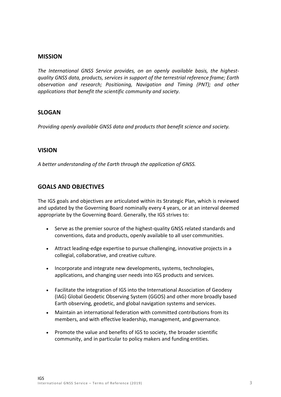#### **MISSION**

*The International GNSS Service provides, on an openly available basis, the highestquality GNSS data, products, services in support of the terrestrial reference frame; Earth observation and research; Positioning, Navigation and Timing (PNT); and other applications that benefit the scientific community and society*.

#### **SLOGAN**

*Providing openly available GNSS data and products that benefit science and society.*

#### **VISION**

*A better understanding of the Earth through the application of GNSS.*

#### **GOALS AND OBJECTIVES**

The IGS goals and objectives are articulated within its Strategic Plan, which is reviewed and updated by the Governing Board nominally every 4 years, or at an interval deemed appropriate by the Governing Board. Generally, the IGS strives to:

- Serve as the premier source of the highest-quality GNSS related standards and conventions, data and products, openly available to all user communities.
- Attract leading-edge expertise to pursue challenging, innovative projects in a collegial, collaborative, and creative culture.
- Incorporate and integrate new developments, systems, technologies, applications, and changing user needs into IGS products and services.
- Facilitate the integration of IGS into the International Association of Geodesy (IAG) Global Geodetic Observing System (GGOS) and other more broadly based Earth observing, geodetic, and global navigation systems and services.
- Maintain an international federation with committed contributions from its members, and with effective leadership, management, and governance.
- Promote the value and benefits of IGS to society, the broader scientific community, and in particular to policy makers and funding entities.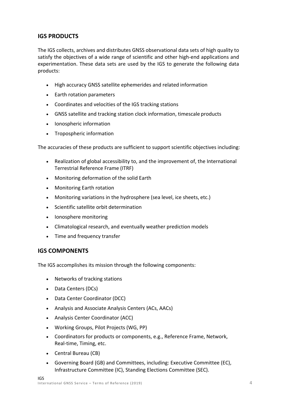# **IGS PRODUCTS**

The IGS collects, archives and distributes GNSS observational data sets of high quality to satisfy the objectives of a wide range of scientific and other high-end applications and experimentation. These data sets are used by the IGS to generate the following data products:

- High accuracy GNSS satellite ephemerides and related information
- Earth rotation parameters
- Coordinates and velocities of the IGS tracking stations
- GNSS satellite and tracking station clock information, timescale products
- Ionospheric information
- Tropospheric information

The accuracies of these products are sufficient to support scientific objectives including:

- Realization of global accessibility to, and the improvement of, the International Terrestrial Reference Frame (ITRF)
- Monitoring deformation of the solid Earth
- Monitoring Earth rotation
- Monitoring variations in the hydrosphere (sea level, ice sheets, etc.)
- Scientific satellite orbit determination
- Ionosphere monitoring
- Climatological research, and eventually weather prediction models
- Time and frequency transfer

#### **IGS COMPONENTS**

The IGS accomplishes its mission through the following components:

- Networks of tracking stations
- Data Centers (DCs)
- Data Center Coordinator (DCC)
- Analysis and Associate Analysis Centers (ACs, AACs)
- Analysis Center Coordinator (ACC)
- Working Groups, Pilot Projects (WG, PP)
- Coordinators for products or components, e.g., Reference Frame, Network, Real-time, Timing, etc.
- Central Bureau (CB)
- Governing Board (GB) and Committees, including: Executive Committee (EC), Infrastructure Committee (IC), Standing Elections Committee (SEC).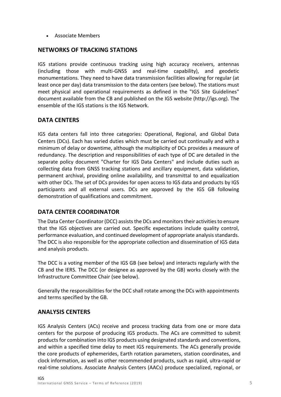• Associate Members

#### **NETWORKS OF TRACKING STATIONS**

IGS stations provide continuous tracking using high accuracy receivers, antennas (including those with multi-GNSS and real-time capability), and geodetic monumentations. They need to have data transmission facilities allowing for regular (at least once per day) data transmission to the data centers (see below). The stations must meet physical and operational requirements as defined in the "IGS Site Guidelines" document available from the CB and published on the IGS website (http://igs.org). The ensemble of the IGS stations is the IGS Network.

# **DATA CENTERS**

IGS data centers fall into three categories: Operational, Regional, and Global Data Centers (DCs). Each has varied duties which must be carried out continually and with a minimum of delay or downtime, although the multiplicity of DCs provides a measure of redundancy. The description and responsibilities of each type of DC are detailed in the separate policy document "Charter for IGS Data Centers" and include duties such as collecting data from GNSS tracking stations and ancillary equipment, data validation, permanent archival, providing online availability, and transmittal to and equalization with other DCs. The set of DCs provides for open access to IGS data and products by IGS participants and all external users. DCs are approved by the IGS GB following demonstration of qualifications and commitment.

# **DATA CENTER COORDINATOR**

The Data Center Coordinator (DCC) assists the DCs and monitors their activities to ensure that the IGS objectives are carried out. Specific expectations include quality control, performance evaluation, and continued development of appropriate analysis standards. The DCC is also responsible for the appropriate collection and dissemination of IGS data and analysis products.

The DCC is a voting member of the IGS GB (see below) and interacts regularly with the CB and the IERS. The DCC (or designee as approved by the GB) works closely with the Infrastructure Committee Chair (see below).

Generally the responsibilities for the DCC shall rotate among the DCs with appointments and terms specified by the GB.

#### **ANALYSIS CENTERS**

IGS Analysis Centers (ACs) receive and process tracking data from one or more data centers for the purpose of producing IGS products. The ACs are committed to submit products for combination into IGS products using designated standards and conventions, and within a specified time delay to meet IGS requirements. The ACs generally provide the core products of ephemerides, Earth rotation parameters, station coordinates, and clock information, as well as other recommended products, such as rapid, ultra-rapid or real-time solutions. Associate Analysis Centers (AACs) produce specialized, regional, or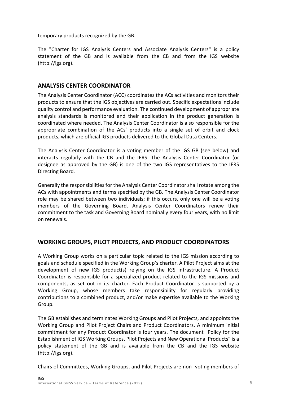temporary products recognized by the GB.

The "Charter for IGS Analysis Centers and Associate Analysis Centers" is a policy statement of the GB and is available from the CB and from the IGS website (http://igs.org).

#### **ANALYSIS CENTER COORDINATOR**

The Analysis Center Coordinator (ACC) coordinates the ACs activities and monitors their products to ensure that the IGS objectives are carried out. Specific expectations include quality control and performance evaluation. The continued development of appropriate analysis standards is monitored and their application in the product generation is coordinated where needed. The Analysis Center Coordinator is also responsible for the appropriate combination of the ACs' products into a single set of orbit and clock products, which are official IGS products delivered to the Global Data Centers.

The Analysis Center Coordinator is a voting member of the IGS GB (see below) and interacts regularly with the CB and the IERS. The Analysis Center Coordinator (or designee as approved by the GB) is one of the two IGS representatives to the IERS Directing Board.

Generally the responsibilities for the Analysis Center Coordinator shall rotate among the ACs with appointments and terms specified by the GB. The Analysis Center Coordinator role may be shared between two individuals; if this occurs, only one will be a voting members of the Governing Board. Analysis Center Coordinators renew their commitment to the task and Governing Board nominally every four years, with no limit on renewals.

#### **WORKING GROUPS, PILOT PROJECTS, AND PRODUCT COORDINATORS**

A Working Group works on a particular topic related to the IGS mission according to goals and schedule specified in the Working Group's charter. A Pilot Project aims at the development of new IGS product(s) relying on the IGS infrastructure. A Product Coordinator is responsible for a specialized product related to the IGS missions and components, as set out in its charter. Each Product Coordinator is supported by a Working Group, whose members take responsibility for regularly providing contributions to a combined product, and/or make expertise available to the Working Group.

The GB establishes and terminates Working Groups and Pilot Projects, and appoints the Working Group and Pilot Project Chairs and Product Coordinators. A minimum initial commitment for any Product Coordinator is four years. The document "Policy for the Establishment of IGS Working Groups, Pilot Projects and New Operational Products" is a policy statement of the GB and is available from the CB and the IGS website (http://igs.org).

Chairs of Committees, Working Groups, and Pilot Projects are non- voting members of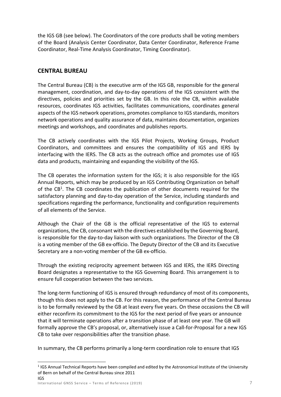the IGS GB (see below). The Coordinators of the core products shall be voting members of the Board (Analysis Center Coordinator, Data Center Coordinator, Reference Frame Coordinator, Real-Time Analysis Coordinator, Timing Coordinator).

# **CENTRAL BUREAU**

The Central Bureau (CB) is the executive arm of the IGS GB, responsible for the general management, coordination, and day-to-day operations of the IGS consistent with the directives, policies and priorities set by the GB. In this role the CB, within available resources, coordinates IGS activities, facilitates communications, coordinates general aspects of the IGS network operations, promotes compliance to IGS standards, monitors network operations and quality assurance of data, maintains documentation, organizes meetings and workshops, and coordinates and publishes reports.

The CB actively coordinates with the IGS Pilot Projects, Working Groups, Product Coordinators, and committees and ensures the compatibility of IGS and IERS by interfacing with the IERS. The CB acts as the outreach office and promotes use of IGS data and products, maintaining and expanding the visibility of the IGS.

The CB operates the information system for the IGS; it is also responsible for the IGS Annual Reports, which may be produced by an IGS Contributing Organization on behalf of the  $CB<sup>1</sup>$ . The CB coordinates the publication of other documents required for the satisfactory planning and day-to-day operation of the Service, including standards and specifications regarding the performance, functionality and configuration requirements of all elements of the Service.

Although the Chair of the GB is the official representative of the IGS to external organizations, the CB, consonant with the directives established by the Governing Board, is responsible for the day-to-day liaison with such organizations. The Director of the CB is a voting member of the GB ex-officio. The Deputy Director of the CB and its Executive Secretary are a non-voting member of the GB ex-officio.

Through the existing reciprocity agreement between IGS and IERS, the IERS Directing Board designates a representative to the IGS Governing Board. This arrangement is to ensure full cooperation between the two services.

The long-term functioning of IGS is ensured through redundancy of most of its components, though this does not apply to the CB. For this reason, the performance of the Central Bureau is to be formally reviewed by the GB at least every five years. On these occasions the CB will either reconfirm its commitment to the IGS for the next period of five years or announce that it will terminate operations after a transition phase of at least one year. The GB will formally approve the CB's proposal, or, alternatively issue a Call-for-Proposal for a new IGS CB to take over responsibilities after the transition phase.

In summary, the CB performs primarily a long-term coordination role to ensure that IGS

IGS <sup>1</sup> IGS Annual Technical Reports have been compiled and edited by the Astronomical Institute of the University of Bern on behalf of the Central Bureau since 2011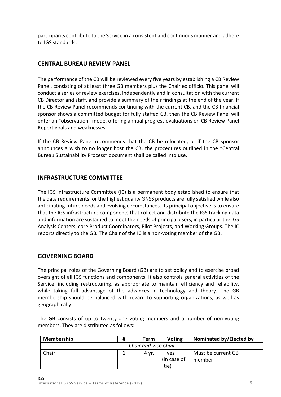participants contribute to the Service in a consistent and continuous manner and adhere to IGS standards.

# **CENTRAL BUREAU REVIEW PANEL**

The performance of the CB will be reviewed every five years by establishing a CB Review Panel, consisting of at least three GB members plus the Chair ex officio. This panel will conduct a series of review exercises, independently and in consultation with the current CB Director and staff, and provide a summary of their findings at the end of the year. If the CB Review Panel recommends continuing with the current CB, and the CB financial sponsor shows a committed budget for fully staffed CB, then the CB Review Panel will enter an "observation" mode, offering annual progress evaluations on CB Review Panel Report goals and weaknesses.

If the CB Review Panel recommends that the CB be relocated, or if the CB sponsor announces a wish to no longer host the CB, the procedures outlined in the "Central Bureau Sustainability Process" document shall be called into use.

#### **INFRASTRUCTURE COMMITTEE**

The IGS Infrastructure Committee (IC) is a permanent body established to ensure that the data requirements for the highest quality GNSS products are fully satisfied while also anticipating future needs and evolving circumstances. Its principal objective is to ensure that the IGS infrastructure components that collect and distribute the IGS tracking data and information are sustained to meet the needs of principal users, in particular the IGS Analysis Centers, core Product Coordinators, Pilot Projects, and Working Groups. The IC reports directly to the GB. The Chair of the IC is a non-voting member of the GB.

#### **GOVERNING BOARD**

The principal roles of the Governing Board (GB) are to set policy and to exercise broad oversight of all IGS functions and components. It also controls general activities of the Service, including restructuring, as appropriate to maintain efficiency and reliability, while taking full advantage of the advances in technology and theory. The GB membership should be balanced with regard to supporting organizations, as well as geographically.

The GB consists of up to twenty-one voting members and a number of non-voting members. They are distributed as follows:

| <b>Membership</b>    | # | Term  | <b>Voting</b> | Nominated by/Elected by |  |  |  |
|----------------------|---|-------|---------------|-------------------------|--|--|--|
| Chair and Vice Chair |   |       |               |                         |  |  |  |
| Chair                |   | 4 yr. | yes           | Must be current GB      |  |  |  |
|                      |   |       | (in case of   | member                  |  |  |  |
|                      |   |       | tie)          |                         |  |  |  |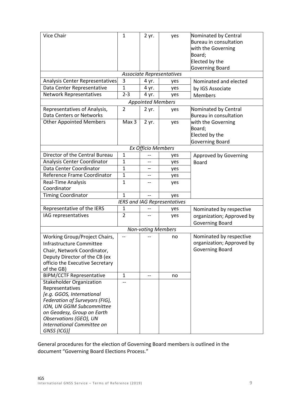| Vice Chair                                                       | $\mathbf{1}$   | 2 yr. | yes | Nominated by Central      |  |  |  |
|------------------------------------------------------------------|----------------|-------|-----|---------------------------|--|--|--|
|                                                                  |                |       |     | Bureau in consultation    |  |  |  |
|                                                                  |                |       |     | with the Governing        |  |  |  |
|                                                                  |                |       |     | Board;                    |  |  |  |
|                                                                  |                |       |     | Elected by the            |  |  |  |
|                                                                  |                |       |     | Governing Board           |  |  |  |
| <b>Associate Representatives</b>                                 |                |       |     |                           |  |  |  |
| Analysis Center Representatives                                  | 3              | 4 yr. | yes | Nominated and elected     |  |  |  |
| Data Center Representative                                       | $\mathbf{1}$   | 4 yr. | yes | by IGS Associate          |  |  |  |
| <b>Network Representatives</b>                                   | $2 - 3$        | 4 yr. | yes | <b>Members</b>            |  |  |  |
| <b>Appointed Members</b>                                         |                |       |     |                           |  |  |  |
| Representatives of Analysis,                                     | $\overline{2}$ | 2 yr. | yes | Nominated by Central      |  |  |  |
| <b>Data Centers or Networks</b>                                  |                |       |     | Bureau in consultation    |  |  |  |
| <b>Other Appointed Members</b>                                   | Max 3          | 2 yr. | yes | with the Governing        |  |  |  |
|                                                                  |                |       |     | Board;                    |  |  |  |
|                                                                  |                |       |     | Elected by the            |  |  |  |
|                                                                  |                |       |     | Governing Board           |  |  |  |
| Ex Officio Members                                               |                |       |     |                           |  |  |  |
| Director of the Central Bureau                                   | $\mathbf{1}$   |       | yes | Approved by Governing     |  |  |  |
| Analysis Center Coordinator                                      | 1              | --    | yes | <b>Board</b>              |  |  |  |
| Data Center Coordinator                                          | 1              |       | yes |                           |  |  |  |
| Reference Frame Coordinator                                      | 1              | --    | yes |                           |  |  |  |
| Real-Time Analysis                                               | $\mathbf{1}$   |       | yes |                           |  |  |  |
| Coordinator                                                      |                |       |     |                           |  |  |  |
| <b>Timing Coordinator</b>                                        | 1              |       | yes |                           |  |  |  |
| <b>IERS and IAG Representatives</b>                              |                |       |     |                           |  |  |  |
| Representative of the IERS                                       | 1              |       | yes | Nominated by respective   |  |  |  |
| IAG representatives                                              | $\overline{2}$ |       | yes | organization; Approved by |  |  |  |
|                                                                  |                |       |     | <b>Governing Board</b>    |  |  |  |
| <b>Non-voting Members</b>                                        |                |       |     |                           |  |  |  |
| Working Group/Project Chairs,                                    |                |       | no  | Nominated by respective   |  |  |  |
| Infrastructure Committee                                         |                |       |     | organization; Approved by |  |  |  |
|                                                                  |                |       |     | <b>Governing Board</b>    |  |  |  |
| Chair, Network Coordinator,                                      |                |       |     |                           |  |  |  |
| Deputy Director of the CB (ex<br>officio the Executive Secretary |                |       |     |                           |  |  |  |
| of the GB)                                                       |                |       |     |                           |  |  |  |
| <b>BIPM/CCTF Representative</b>                                  | $\mathbf{1}$   |       | no  |                           |  |  |  |
| <b>Stakeholder Organization</b>                                  |                |       |     |                           |  |  |  |
| Representatives                                                  |                |       |     |                           |  |  |  |
| [e.g. GGOS, International                                        |                |       |     |                           |  |  |  |
| Federation of Surveyors (FIG),                                   |                |       |     |                           |  |  |  |
| ION, UN GGIM Subcommittee                                        |                |       |     |                           |  |  |  |
| on Geodesy, Group on Earth                                       |                |       |     |                           |  |  |  |
| Observations (GEO), UN                                           |                |       |     |                           |  |  |  |
| International Committee on                                       |                |       |     |                           |  |  |  |
| GNSS (ICG)]                                                      |                |       |     |                           |  |  |  |

General procedures for the election of Governing Board members is outlined in the document "Governing Board Elections Process."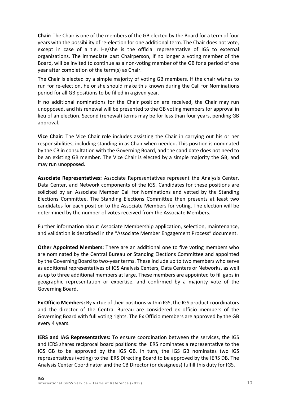**Chair:** The Chair is one of the members of the GB elected by the Board for a term of four years with the possibility of re-election for one additional term. The Chair does not vote, except in case of a tie. He/she is the official representative of IGS to external organizations. The immediate past Chairperson, if no longer a voting member of the Board, will be invited to continue as a non-voting member of the GB for a period of one year after completion of the term(s) as Chair.

The Chair is elected by a simple majority of voting GB members. If the chair wishes to run for re-election, he or she should make this known during the Call for Nominations period for all GB positions to be filled in a given year.

If no additional nominations for the Chair position are received, the Chair may run unopposed, and his renewal will be presented to the GB voting members for approval in lieu of an election. Second (renewal) terms may be for less than four years, pending GB approval.

**Vice Chair:** The Vice Chair role includes assisting the Chair in carrying out his or her responsibilities, including standing-in as Chair when needed. This position is nominated by the CB in consultation with the Governing Board, and the candidate does not need to be an existing GB member. The Vice Chair is elected by a simple majority the GB, and may run unopposed.

**Associate Representatives:** Associate Representatives represent the Analysis Center, Data Center, and Network components of the IGS. Candidates for these positions are solicited by an Associate Member Call for Nominations and vetted by the Standing Elections Committee. The Standing Elections Committee then presents at least two candidates for each position to the Associate Members for voting. The election will be determined by the number of votes received from the Associate Members.

Further information about Associate Membership application, selection, maintenance, and validation is described in the "Associate Member Engagement Process" document.

**Other Appointed Members:** There are an additional one to five voting members who are nominated by the Central Bureau or Standing Elections Committee and appointed by the Governing Board to two-year terms. These include up to two members who serve as additional representatives of IGS Analysis Centers, Data Centers or Networks, as well as up to three additional members at large. These members are appointed to fill gaps in geographic representation or expertise, and confirmed by a majority vote of the Governing Board.

**Ex Officio Members:** By virtue of their positions within IGS, the IGS product coordinators and the director of the Central Bureau are considered ex officio members of the Governing Board with full voting rights. The Ex Officio members are approved by the GB every 4 years.

**IERS and IAG Representatives:** To ensure coordination between the services, the IGS and IERS shares reciprocal board positions: the IERS nominates a representative to the IGS GB to be approved by the IGS GB. In turn, the IGS GB nominates two IGS representatives (voting) to the IERS Directing Board to be approved by the IERS DB. The Analysis Center Coordinator and the CB Director (or designees) fulfill this duty for IGS.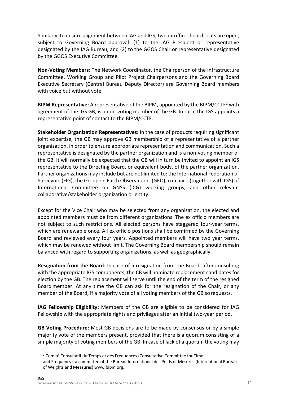Similarly, to ensure alignment between IAG and IGS, two ex officio board seats are open, subject to Governing Board approval: (1) to the IAG President or representative designated by the IAG Bureau, and (2) to the GGOS Chair or representative designated by the GGOS Executive Committee.

**Non-Voting Members:** The Network Coordinator, the Chairperson of the Infrastructure Committee, Working Group and Pilot Project Chairpersons and the Governing Board Executive Secretary (Central Bureau Deputy Director) are Governing Board members with voice but without vote.

**BIPM Representative:** A representative of the BIPM, appointed by the BIPM/CCTF2 with agreement of the IGS GB, is a non-voting member of the GB. In turn, the IGS appoints a representative point of contact to the BIPM/CCTF.

**Stakeholder Organization Representatives:** In the case of products requiring significant joint expertise, the GB may approve GB membership of a representative of a partner organization, in order to ensure appropriate representation and communication. Such a representative is designated by the partner organization and is a non-voting member of the GB. It will normally be expected that the GB will in turn be invited to appoint an IGS representative to the Directing Board, or equivalent body, of the partner organization. Partner organizations may include but are not limited to: the International Federation of Surveyors (FIG), the Group on Earth Observations (GEO), co-chairs (together with IGS) of International Committee on GNSS (ICG) working groups, and other relevant collaborative/stakeholder organization or entity.

Except for the Vice Chair who may be selected from any organization, the elected and appointed members must be from different organizations. The ex officio members are not subject to such restrictions. All elected persons have staggered four-year terms, which are renewable once. All ex officio positions shall be confirmed by the Governing Board and reviewed every four years. Appointed members will have two year terms, which may be renewed without limit. The Governing Board membership should remain balanced with regard to supporting organizations, as well as geographically.

**Resignation from the Board**: In case of a resignation from the Board, after consulting with the appropriate IGS components, the CB will nominate replacement candidates for election by the GB. The replacement will serve until the end of the term of the resigned Board member. At any time the GB can ask for the resignation of the Chair, or any member of the Board, if a majority vote of all voting members of the GB sorequests.

**IAG Fellowship Eligibility:** Members of the GB are eligible to be considered for IAG Fellowship with the appropriate rights and privileges after an initial two-year period.

**GB Voting Procedure:** Most GB decisions are to be made by consensus or by a simple majority vote of the members present, provided that there is a quorum consisting of a simple majority of voting members of the GB. In case of lack of a quorum the voting may

 $2$  Comité Consultatif du Temps et des Fréquences (Consultative Committee for Time and Frequency), a committee of the Bureau International des Poids et Mesures (International Bureau of Weights and Measures) www.bipm.org.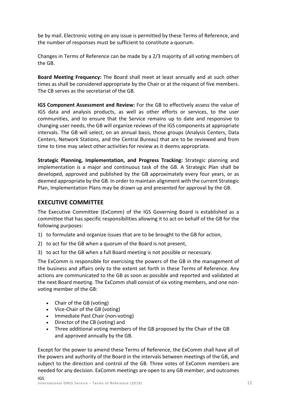be by mail. Electronic voting on any issue is permitted by these Terms of Reference, and the number of responses must be sufficient to constitute a quorum.

Changes in Terms of Reference can be made by a 2/3 majority of all voting members of the GB.

**Board Meeting Frequency:** The Board shall meet at least annually and at such other times as shall be considered appropriate by the Chair or at the request of five members. The CB serves as the secretariat of the GB.

**IGS Component Assessment and Review:** For the GB to effectively assess the value of IGS data and analysis products, as well as other efforts or services, to the user communities, and to ensure that the Service remains up to date and responsive to changing user needs, the GB will organize reviews of the IGS components at appropriate intervals. The GB will select, on an annual basis, those groups (Analysis Centers, Data Centers, Network Stations, and the Central Bureau) that are to be reviewed and from time to time may select other activities for review as it deems appropriate.

**Strategic Planning, Implementation, and Progress Tracking:** Strategic planning and implementation is a major and continuous task of the GB. A Strategic Plan shall be developed, approved and published by the GB approximately every four years, or as deemed appropriate by the GB. In order to maintain alignment with the current Strategic Plan, Implementation Plans may be drawn up and presented for approval by the GB.

#### **EXECUTIVE COMMITTEE**

The Executive Committee (ExComm) of the IGS Governing Board is established as a committee that has specific responsibilities allowing it to act on behalf of the GB for the following purposes:

- 1) to formulate and organize issues that are to be brought to the GB for action,
- 2) to act for the GB when a quorum of the Board is not present,
- 3) to act for the GB when a full Board meeting is not possible or necessary.

The ExComm is responsible for exercising the powers of the GB in the management of the business and affairs only to the extent set forth in these Terms of Reference. Any actions are communicated to the GB as soon as possible and reported and validated at the next Board meeting. The ExComm shall consist of six voting members, and one nonvoting member of the GB:

- Chair of the GB (voting)
- Vice-Chair of the GB (voting)
- Immediate Past Chair (non-voting)
- Director of the CB (voting) and
- Three additional voting members of the GB proposed by the Chair of the GB and approved annually by the GB.

Except for the power to amend these Terms of Reference, the ExComm shall have all of the powers and authority of the Board in the intervals between meetings of the GB, and subject to the direction and control of the GB. Three votes of ExComm members are needed for any decision. ExComm meetings are open to any GB member, and outcomes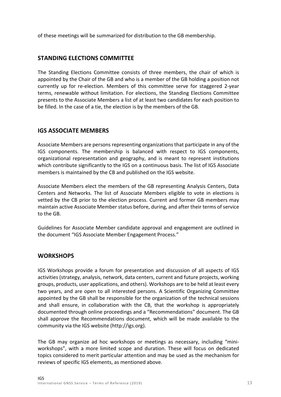of these meetings will be summarized for distribution to the GB membership.

#### **STANDING ELECTIONS COMMITTEE**

The Standing Elections Committee consists of three members, the chair of which is appointed by the Chair of the GB and who is a member of the GB holding a position not currently up for re-election. Members of this committee serve for staggered 2-year terms, renewable without limitation. For elections, the Standing Elections Committee presents to the Associate Members a list of at least two candidates for each position to be filled. In the case of a tie, the election is by the members of the GB.

# **IGS ASSOCIATE MEMBERS**

Associate Members are persons representing organizations that participate in any of the IGS components. The membership is balanced with respect to IGS components, organizational representation and geography, and is meant to represent institutions which contribute significantly to the IGS on a continuous basis. The list of IGS Associate members is maintained by the CB and published on the IGS website.

Associate Members elect the members of the GB representing Analysis Centers, Data Centers and Networks. The list of Associate Members eligible to vote in elections is vetted by the CB prior to the election process. Current and former GB members may maintain active Associate Member status before, during, and after their terms of service to the GB.

Guidelines for Associate Member candidate approval and engagement are outlined in the document "IGS Associate Member Engagement Process."

# **WORKSHOPS**

IGS Workshops provide a forum for presentation and discussion of all aspects of IGS activities (strategy, analysis, network, data centers, current and future projects, working groups, products, user applications, and others). Workshops are to be held at least every two years, and are open to all interested persons. A Scientific Organizing Committee appointed by the GB shall be responsible for the organization of the technical sessions and shall ensure, in collaboration with the CB, that the workshop is appropriately documented through online proceedings and a "Recommendations" document. The GB shall approve the Recommendations document, which will be made available to the community via the IGS website (http://igs.org).

The GB may organize ad hoc workshops or meetings as necessary, including "miniworkshops", with a more limited scope and duration. These will focus on dedicated topics considered to merit particular attention and may be used as the mechanism for reviews of specific IGS elements, as mentioned above.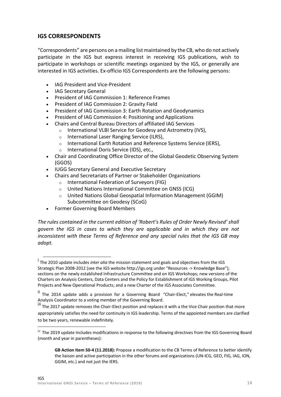#### **IGS CORRESPONDENTS**

"Correspondents" are persons on a mailing list maintained by the CB, who do not actively participate in the IGS but express interest in receiving IGS publications, wish to participate in workshops or scientific meetings organized by the IGS, or generally are interested in IGS activities. Ex-officio IGS Correspondents are the following persons:

- IAG President and Vice-President
- IAG Secretary General
- President of IAG Commission 1: Reference Frames
- President of IAG Commission 2: Gravity Field
- President of IAG Commission 3: Earth Rotation and Geodynamics
- President of IAG Commission 4: Positioning and Applications
- Chairs and Central Bureau Directors of affiliated IAG Services
	- o International VLBI Service for Geodesy and Astrometry (IVS),
	- o International Laser Ranging Service (ILRS),
	- o International Earth Rotation and Reference Systems Service (IERS),
	- o International Doris Service (IDS), etc.,
- Chair and Coordinating Office Director of the Global Geodetic Observing System (GGOS)
- IUGG Secretary General and Executive Secretary
- Chairs and Secretariats of Partner or Stakeholder Organizations
	- o International Federation of Surveyors (FIG)
	- o United Nations International Committee on GNSS (ICG)
	- o United Nations Global Geospatial Information Management (GGIM) Subcommittee on Geodesy (SCoG)
- Former Governing Board Members

*The rules contained in the current edition of 'Robert's Rules of Order Newly Revised' shall govern the IGS in cases to which they are applicable and in which they are not inconsistent with these Terms of Reference and any special rules that the IGS GB may adopt.*

i The 2010 update includes *inter alia* the mission statement and goals and objectives from the IGS Strategic Plan 2008-2012 (see the IGS website http://igs.org under "Resources -> Knowledge Base"); sections on the newly established Infrastructure Committee and on IGS Workshops; new versions of the Charters on Analysis Centers, Data Centers and the Policy for Establishment of IGS Working Groups, Pilot Projects and New Operational Products; and a new Charter of the IGS Associates Committee.

ii The 2014 update adds a provision for a Governing Board "Chair-Elect," elevates the Real-time Analysis Coordinator to a voting member of the Governing Board.

iii The 2017 update removes the Chair-Elect position and replaces it with a the Vice Chair position that more appropriately satisfies the need for continuity in IGS leadership. Terms of the appointed members are clarified to be two years, renewable indefinitely.

iv The 2019 update Includes modifications in response to the following directives from the IGS Governing Board (month and year in parentheses):

**GB Action Item 50-4 (11.2018):** Propose a modification to the CB Terms of Reference to better identify the liaison and active participation in the other forums and organizations (UN-ICG, GEO, FIG, IAG, ION, GGIM, etc.) and not just the IERS.